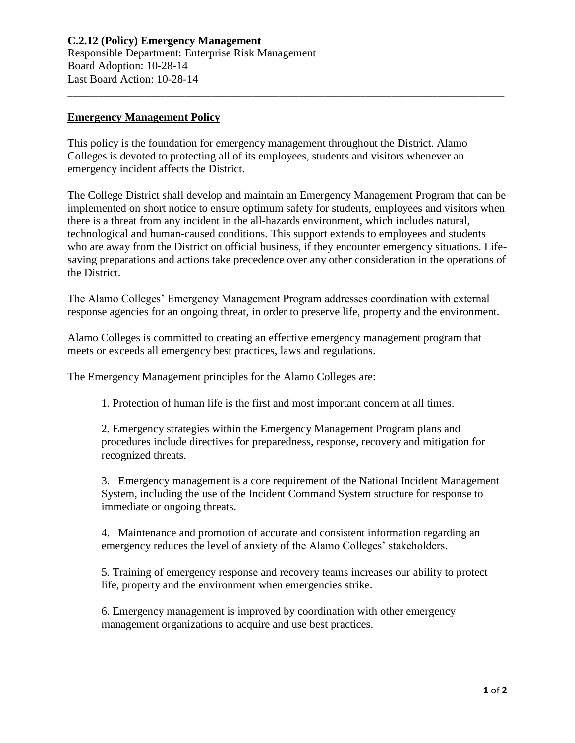**C.2.12 (Policy) Emergency Management** Responsible Department: Enterprise Risk Management Board Adoption: 10-28-14 Last Board Action: 10-28-14

## **Emergency Management Policy**

This policy is the foundation for emergency management throughout the District. Alamo Colleges is devoted to protecting all of its employees, students and visitors whenever an emergency incident affects the District.

\_\_\_\_\_\_\_\_\_\_\_\_\_\_\_\_\_\_\_\_\_\_\_\_\_\_\_\_\_\_\_\_\_\_\_\_\_\_\_\_\_\_\_\_\_\_\_\_\_\_\_\_\_\_\_\_\_\_\_\_\_\_\_\_\_\_\_\_\_\_\_\_\_\_\_\_\_\_\_\_\_\_\_\_\_

The College District shall develop and maintain an Emergency Management Program that can be implemented on short notice to ensure optimum safety for students, employees and visitors when there is a threat from any incident in the all-hazards environment, which includes natural, technological and human-caused conditions. This support extends to employees and students who are away from the District on official business, if they encounter emergency situations. Lifesaving preparations and actions take precedence over any other consideration in the operations of the District.

The Alamo Colleges' Emergency Management Program addresses coordination with external response agencies for an ongoing threat, in order to preserve life, property and the environment.

Alamo Colleges is committed to creating an effective emergency management program that meets or exceeds all emergency best practices, laws and regulations.

The Emergency Management principles for the Alamo Colleges are:

1. Protection of human life is the first and most important concern at all times.

2. Emergency strategies within the Emergency Management Program plans and procedures include directives for preparedness, response, recovery and mitigation for recognized threats.

3. Emergency management is a core requirement of the National Incident Management System, including the use of the Incident Command System structure for response to immediate or ongoing threats.

4. Maintenance and promotion of accurate and consistent information regarding an emergency reduces the level of anxiety of the Alamo Colleges' stakeholders.

5. Training of emergency response and recovery teams increases our ability to protect life, property and the environment when emergencies strike.

6. Emergency management is improved by coordination with other emergency management organizations to acquire and use best practices.